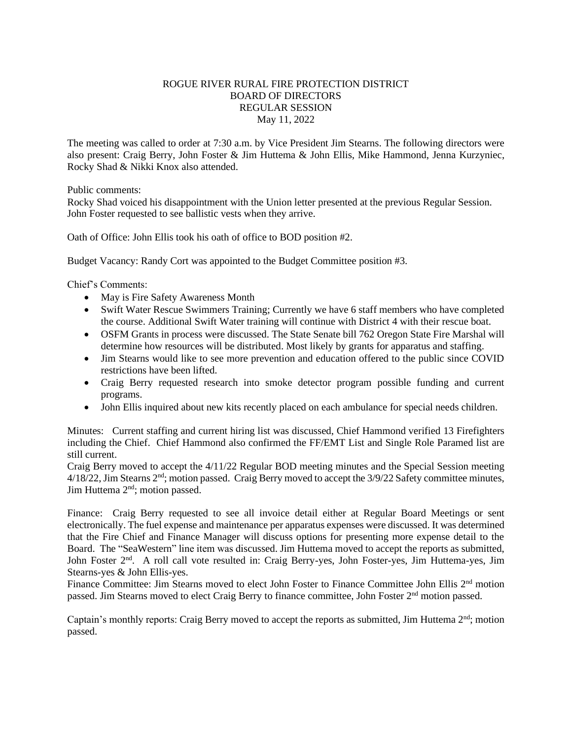## ROGUE RIVER RURAL FIRE PROTECTION DISTRICT BOARD OF DIRECTORS REGULAR SESSION May 11, 2022

The meeting was called to order at 7:30 a.m. by Vice President Jim Stearns. The following directors were also present: Craig Berry, John Foster & Jim Huttema & John Ellis, Mike Hammond, Jenna Kurzyniec, Rocky Shad & Nikki Knox also attended.

Public comments:

Rocky Shad voiced his disappointment with the Union letter presented at the previous Regular Session. John Foster requested to see ballistic vests when they arrive.

Oath of Office: John Ellis took his oath of office to BOD position #2.

Budget Vacancy: Randy Cort was appointed to the Budget Committee position #3.

Chief's Comments:

- May is Fire Safety Awareness Month
- Swift Water Rescue Swimmers Training; Currently we have 6 staff members who have completed the course. Additional Swift Water training will continue with District 4 with their rescue boat.
- OSFM Grants in process were discussed. The State Senate bill 762 Oregon State Fire Marshal will determine how resources will be distributed. Most likely by grants for apparatus and staffing.
- Jim Stearns would like to see more prevention and education offered to the public since COVID restrictions have been lifted.
- Craig Berry requested research into smoke detector program possible funding and current programs.
- John Ellis inquired about new kits recently placed on each ambulance for special needs children.

Minutes: Current staffing and current hiring list was discussed, Chief Hammond verified 13 Firefighters including the Chief. Chief Hammond also confirmed the FF/EMT List and Single Role Paramed list are still current.

Craig Berry moved to accept the 4/11/22 Regular BOD meeting minutes and the Special Session meeting 4/18/22, Jim Stearns 2<sup>nd</sup>; motion passed. Craig Berry moved to accept the 3/9/22 Safety committee minutes, Jim Huttema 2<sup>nd</sup>; motion passed.

Finance: Craig Berry requested to see all invoice detail either at Regular Board Meetings or sent electronically. The fuel expense and maintenance per apparatus expenses were discussed. It was determined that the Fire Chief and Finance Manager will discuss options for presenting more expense detail to the Board. The "SeaWestern" line item was discussed. Jim Huttema moved to accept the reports as submitted, John Foster 2nd. A roll call vote resulted in: Craig Berry-yes, John Foster-yes, Jim Huttema-yes, Jim Stearns-yes & John Ellis-yes.

Finance Committee: Jim Stearns moved to elect John Foster to Finance Committee John Ellis 2<sup>nd</sup> motion passed. Jim Stearns moved to elect Craig Berry to finance committee, John Foster 2nd motion passed.

Captain's monthly reports: Craig Berry moved to accept the reports as submitted, Jim Huttema  $2<sup>nd</sup>$ ; motion passed.